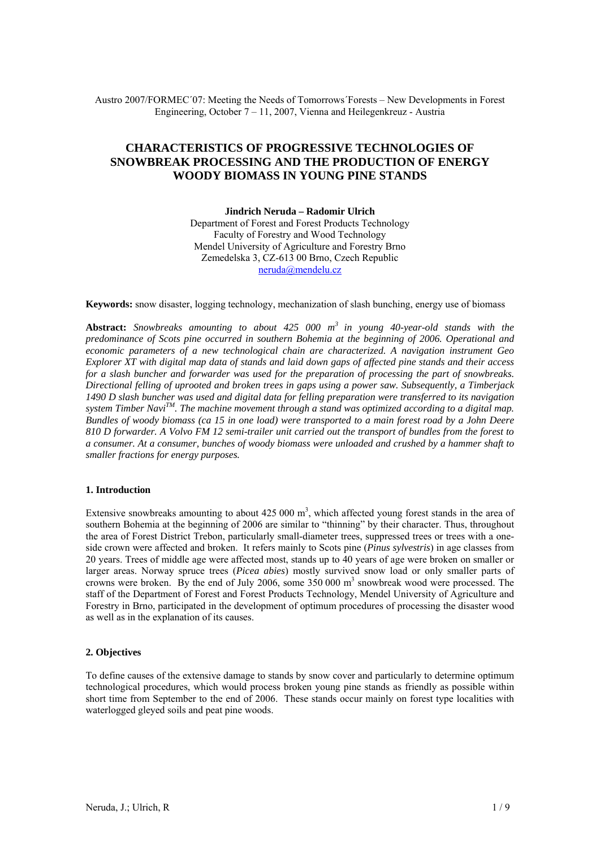Austro 2007/FORMEC´07: Meeting the Needs of Tomorrows´Forests – New Developments in Forest Engineering, October 7 – 11, 2007, Vienna and Heilegenkreuz - Austria

# **CHARACTERISTICS OF PROGRESSIVE TECHNOLOGIES OF SNOWBREAK PROCESSING AND THE PRODUCTION OF ENERGY WOODY BIOMASS IN YOUNG PINE STANDS**

**Jindrich Neruda – Radomir Ulrich**  Department of Forest and Forest Products Technology Faculty of Forestry and Wood Technology Mendel University of Agriculture and Forestry Brno Zemedelska 3, CZ-613 00 Brno, Czech Republic neruda@mendelu.cz

**Keywords:** snow disaster, logging technology, mechanization of slash bunching, energy use of biomass

**Abstract:** *Snowbreaks amounting to about 425 000 m3 in young 40-year-old stands with the predominance of Scots pine occurred in southern Bohemia at the beginning of 2006. Operational and economic parameters of a new technological chain are characterized. A navigation instrument Geo Explorer XT with digital map data of stands and laid down gaps of affected pine stands and their access for a slash buncher and forwarder was used for the preparation of processing the part of snowbreaks. Directional felling of uprooted and broken trees in gaps using a power saw. Subsequently, a Timberjack 1490 D slash buncher was used and digital data for felling preparation were transferred to its navigation system Timber NaviTM. The machine movement through a stand was optimized according to a digital map. Bundles of woody biomass (ca 15 in one load) were transported to a main forest road by a John Deere 810 D forwarder. A Volvo FM 12 semi-trailer unit carried out the transport of bundles from the forest to a consumer. At a consumer, bunches of woody biomass were unloaded and crushed by a hammer shaft to smaller fractions for energy purposes.*

#### **1. Introduction**

Extensive snowbreaks amounting to about  $425\,000 \text{ m}^3$ , which affected young forest stands in the area of southern Bohemia at the beginning of 2006 are similar to "thinning" by their character. Thus, throughout the area of Forest District Trebon, particularly small-diameter trees, suppressed trees or trees with a oneside crown were affected and broken. It refers mainly to Scots pine (*Pinus sylvestris*) in age classes from 20 years. Trees of middle age were affected most, stands up to 40 years of age were broken on smaller or larger areas. Norway spruce trees (*Picea abies*) mostly survived snow load or only smaller parts of crowns were broken. By the end of July 2006, some  $350\,000\ \text{m}^3$  snowbreak wood were processed. The staff of the Department of Forest and Forest Products Technology, Mendel University of Agriculture and Forestry in Brno, participated in the development of optimum procedures of processing the disaster wood as well as in the explanation of its causes.

# **2. Objectives**

To define causes of the extensive damage to stands by snow cover and particularly to determine optimum technological procedures, which would process broken young pine stands as friendly as possible within short time from September to the end of 2006. These stands occur mainly on forest type localities with waterlogged gleyed soils and peat pine woods.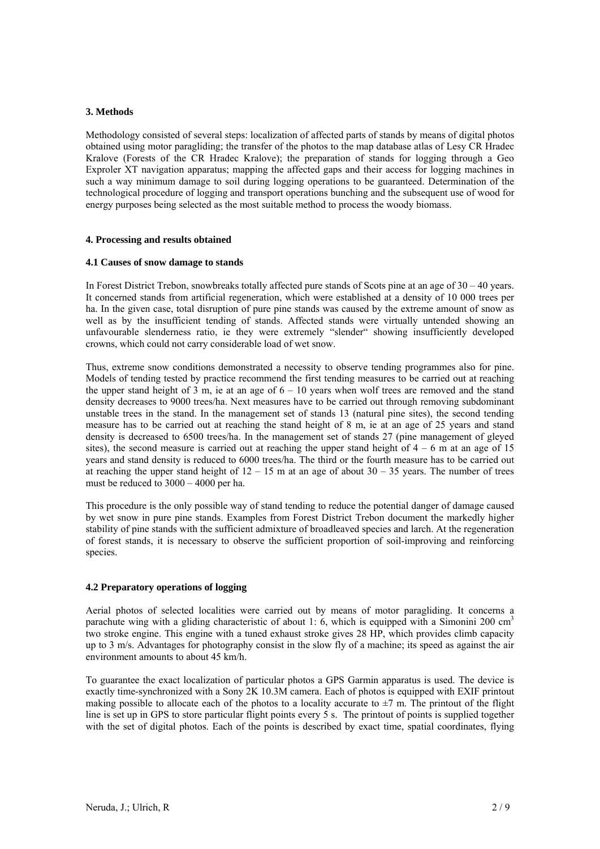# **3. Methods**

Methodology consisted of several steps: localization of affected parts of stands by means of digital photos obtained using motor paragliding; the transfer of the photos to the map database atlas of Lesy CR Hradec Kralove (Forests of the CR Hradec Kralove); the preparation of stands for logging through a Geo Exproler XT navigation apparatus; mapping the affected gaps and their access for logging machines in such a way minimum damage to soil during logging operations to be guaranteed. Determination of the technological procedure of logging and transport operations bunching and the subsequent use of wood for energy purposes being selected as the most suitable method to process the woody biomass.

# **4. Processing and results obtained**

#### **4.1 Causes of snow damage to stands**

In Forest District Trebon, snowbreaks totally affected pure stands of Scots pine at an age of  $30 - 40$  years. It concerned stands from artificial regeneration, which were established at a density of 10 000 trees per ha. In the given case, total disruption of pure pine stands was caused by the extreme amount of snow as well as by the insufficient tending of stands. Affected stands were virtually untended showing an unfavourable slenderness ratio, ie they were extremely "slender" showing insufficiently developed crowns, which could not carry considerable load of wet snow.

Thus, extreme snow conditions demonstrated a necessity to observe tending programmes also for pine. Models of tending tested by practice recommend the first tending measures to be carried out at reaching the upper stand height of  $3 \text{ m}$ , ie at an age of  $6 - 10$  years when wolf trees are removed and the stand density decreases to 9000 trees/ha. Next measures have to be carried out through removing subdominant unstable trees in the stand. In the management set of stands 13 (natural pine sites), the second tending measure has to be carried out at reaching the stand height of 8 m, ie at an age of 25 years and stand density is decreased to 6500 trees/ha. In the management set of stands 27 (pine management of gleyed sites), the second measure is carried out at reaching the upper stand height of  $4 - 6$  m at an age of 15 years and stand density is reduced to 6000 trees/ha. The third or the fourth measure has to be carried out at reaching the upper stand height of  $12 - 15$  m at an age of about  $30 - 35$  years. The number of trees must be reduced to  $3000 - 4000$  per ha.

This procedure is the only possible way of stand tending to reduce the potential danger of damage caused by wet snow in pure pine stands. Examples from Forest District Trebon document the markedly higher stability of pine stands with the sufficient admixture of broadleaved species and larch. At the regeneration of forest stands, it is necessary to observe the sufficient proportion of soil-improving and reinforcing species.

# **4.2 Preparatory operations of logging**

Aerial photos of selected localities were carried out by means of motor paragliding. It concerns a parachute wing with a gliding characteristic of about 1: 6, which is equipped with a Simonini 200 cm<sup>3</sup> two stroke engine. This engine with a tuned exhaust stroke gives 28 HP, which provides climb capacity up to 3 m/s. Advantages for photography consist in the slow fly of a machine; its speed as against the air environment amounts to about 45 km/h.

To guarantee the exact localization of particular photos a GPS Garmin apparatus is used. The device is exactly time-synchronized with a Sony 2K 10.3M camera. Each of photos is equipped with EXIF printout making possible to allocate each of the photos to a locality accurate to  $\pm$ 7 m. The printout of the flight line is set up in GPS to store particular flight points every 5 s. The printout of points is supplied together with the set of digital photos. Each of the points is described by exact time, spatial coordinates, flying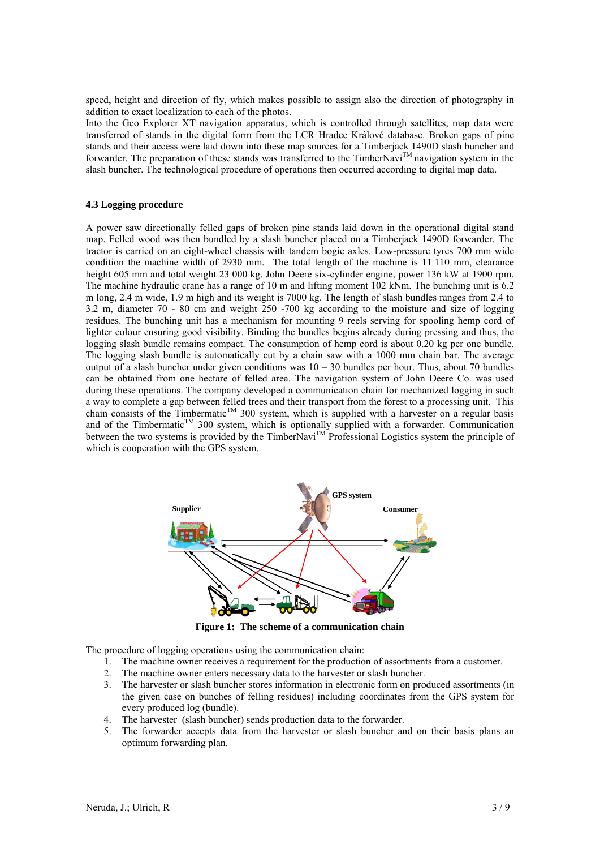speed, height and direction of fly, which makes possible to assign also the direction of photography in addition to exact localization to each of the photos.

Into the Geo Explorer XT navigation apparatus, which is controlled through satellites, map data were transferred of stands in the digital form from the LCR Hradec Králové database. Broken gaps of pine stands and their access were laid down into these map sources for a Timberjack 1490D slash buncher and forwarder. The preparation of these stands was transferred to the TimberNavi<sup>TM</sup> navigation system in the slash buncher. The technological procedure of operations then occurred according to digital map data.

#### **4.3 Logging procedure**

A power saw directionally felled gaps of broken pine stands laid down in the operational digital stand map. Felled wood was then bundled by a slash buncher placed on a Timberjack 1490D forwarder. The tractor is carried on an eight-wheel chassis with tandem bogie axles. Low-pressure tyres 700 mm wide condition the machine width of 2930 mm. The total length of the machine is 11 110 mm, clearance height 605 mm and total weight 23 000 kg. John Deere six-cylinder engine, power 136 kW at 1900 rpm. The machine hydraulic crane has a range of 10 m and lifting moment 102 kNm. The bunching unit is 6.2 m long, 2.4 m wide, 1.9 m high and its weight is 7000 kg. The length of slash bundles ranges from 2.4 to 3.2 m, diameter 70 - 80 cm and weight 250 -700 kg according to the moisture and size of logging residues. The bunching unit has a mechanism for mounting 9 reels serving for spooling hemp cord of lighter colour ensuring good visibility. Binding the bundles begins already during pressing and thus, the logging slash bundle remains compact. The consumption of hemp cord is about 0.20 kg per one bundle. The logging slash bundle is automatically cut by a chain saw with a 1000 mm chain bar. The average output of a slash buncher under given conditions was 10 – 30 bundles per hour. Thus, about 70 bundles can be obtained from one hectare of felled area. The navigation system of John Deere Co. was used during these operations. The company developed a communication chain for mechanized logging in such a way to complete a gap between felled trees and their transport from the forest to a processing unit. This chain consists of the Timbermatic<sup>TM</sup> 300 system, which is supplied with a harvester on a regular basis and of the Timbermatic<sup>TM</sup> 300 system, which is optionally supplied with a forwarder. Communication between the two systems is provided by the TimberNavi<sup>TM</sup> Professional Logistics system the principle of which is cooperation with the GPS system.



**Figure 1: The scheme of a communication chain** 

The procedure of logging operations using the communication chain:

- 1. The machine owner receives a requirement for the production of assortments from a customer.
- The machine owner enters necessary data to the harvester or slash buncher.
- 3. The harvester or slash buncher stores information in electronic form on produced assortments (in the given case on bunches of felling residues) including coordinates from the GPS system for every produced log (bundle).
- 4. The harvester (slash buncher) sends production data to the forwarder.
- 5. The forwarder accepts data from the harvester or slash buncher and on their basis plans an optimum forwarding plan.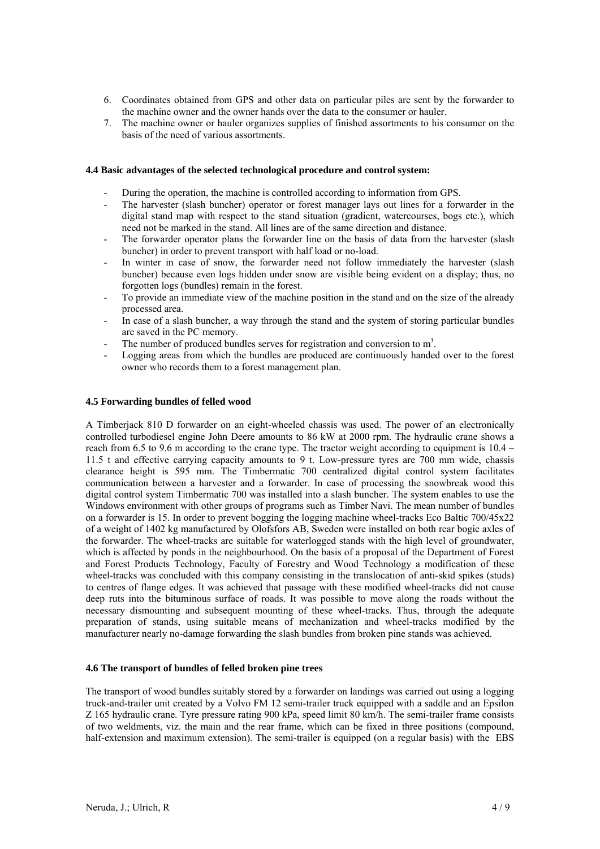- 6. Coordinates obtained from GPS and other data on particular piles are sent by the forwarder to the machine owner and the owner hands over the data to the consumer or hauler.
- 7. The machine owner or hauler organizes supplies of finished assortments to his consumer on the basis of the need of various assortments.

#### **4.4 Basic advantages of the selected technological procedure and control system:**

- During the operation, the machine is controlled according to information from GPS.
- The harvester (slash buncher) operator or forest manager lays out lines for a forwarder in the digital stand map with respect to the stand situation (gradient, watercourses, bogs etc.), which need not be marked in the stand. All lines are of the same direction and distance.
- The forwarder operator plans the forwarder line on the basis of data from the harvester (slash buncher) in order to prevent transport with half load or no-load.
- In winter in case of snow, the forwarder need not follow immediately the harvester (slash buncher) because even logs hidden under snow are visible being evident on a display; thus, no forgotten logs (bundles) remain in the forest.
- To provide an immediate view of the machine position in the stand and on the size of the already processed area.
- In case of a slash buncher, a way through the stand and the system of storing particular bundles are saved in the PC memory.
- The number of produced bundles serves for registration and conversion to  $m<sup>3</sup>$ .
- Logging areas from which the bundles are produced are continuously handed over to the forest owner who records them to a forest management plan.

#### **4.5 Forwarding bundles of felled wood**

A Timberjack 810 D forwarder on an eight-wheeled chassis was used. The power of an electronically controlled turbodiesel engine John Deere amounts to 86 kW at 2000 rpm. The hydraulic crane shows a reach from 6.5 to 9.6 m according to the crane type. The tractor weight according to equipment is 10.4 – 11.5 t and effective carrying capacity amounts to 9 t. Low-pressure tyres are 700 mm wide, chassis clearance height is 595 mm. The Timbermatic 700 centralized digital control system facilitates communication between a harvester and a forwarder. In case of processing the snowbreak wood this digital control system Timbermatic 700 was installed into a slash buncher. The system enables to use the Windows environment with other groups of programs such as Timber Navi. The mean number of bundles on a forwarder is 15. In order to prevent bogging the logging machine wheel-tracks Eco Baltic 700/45x22 of a weight of 1402 kg manufactured by Olofsfors AB, Sweden were installed on both rear bogie axles of the forwarder. The wheel-tracks are suitable for waterlogged stands with the high level of groundwater, which is affected by ponds in the neighbourhood. On the basis of a proposal of the Department of Forest and Forest Products Technology, Faculty of Forestry and Wood Technology a modification of these wheel-tracks was concluded with this company consisting in the translocation of anti-skid spikes (studs) to centres of flange edges. It was achieved that passage with these modified wheel-tracks did not cause deep ruts into the bituminous surface of roads. It was possible to move along the roads without the necessary dismounting and subsequent mounting of these wheel-tracks. Thus, through the adequate preparation of stands, using suitable means of mechanization and wheel-tracks modified by the manufacturer nearly no-damage forwarding the slash bundles from broken pine stands was achieved.

#### **4.6 The transport of bundles of felled broken pine trees**

The transport of wood bundles suitably stored by a forwarder on landings was carried out using a logging truck-and-trailer unit created by a Volvo FM 12 semi-trailer truck equipped with a saddle and an Epsilon Z 165 hydraulic crane. Tyre pressure rating 900 kPa, speed limit 80 km/h. The semi-trailer frame consists of two weldments, viz. the main and the rear frame, which can be fixed in three positions (compound, half-extension and maximum extension). The semi-trailer is equipped (on a regular basis) with the EBS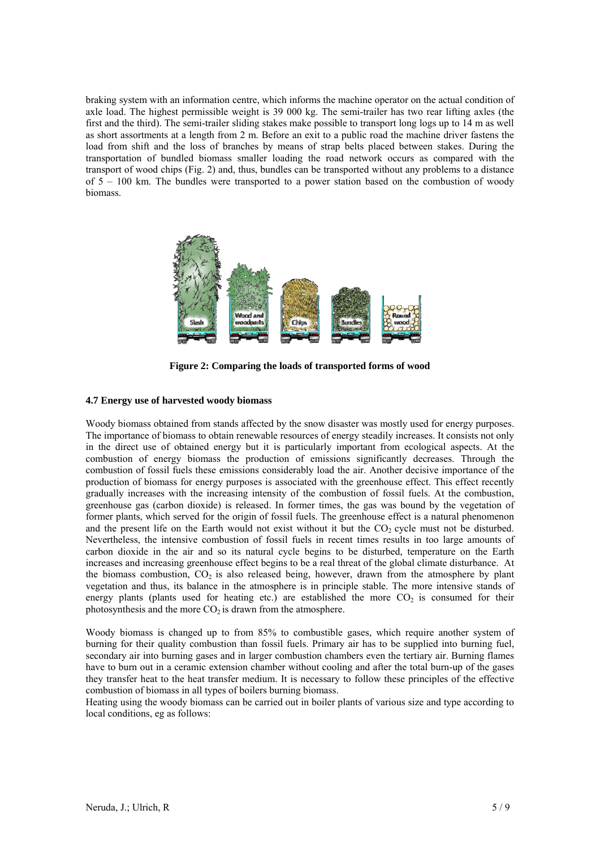braking system with an information centre, which informs the machine operator on the actual condition of axle load. The highest permissible weight is 39 000 kg. The semi-trailer has two rear lifting axles (the first and the third). The semi-trailer sliding stakes make possible to transport long logs up to 14 m as well as short assortments at a length from 2 m. Before an exit to a public road the machine driver fastens the load from shift and the loss of branches by means of strap belts placed between stakes. During the transportation of bundled biomass smaller loading the road network occurs as compared with the transport of wood chips (Fig. 2) and, thus, bundles can be transported without any problems to a distance of 5 – 100 km. The bundles were transported to a power station based on the combustion of woody biomass.



**Figure 2: Comparing the loads of transported forms of wood** 

# **4.7 Energy use of harvested woody biomass**

Woody biomass obtained from stands affected by the snow disaster was mostly used for energy purposes. The importance of biomass to obtain renewable resources of energy steadily increases. It consists not only in the direct use of obtained energy but it is particularly important from ecological aspects. At the combustion of energy biomass the production of emissions significantly decreases. Through the combustion of fossil fuels these emissions considerably load the air. Another decisive importance of the production of biomass for energy purposes is associated with the greenhouse effect. This effect recently gradually increases with the increasing intensity of the combustion of fossil fuels. At the combustion, greenhouse gas (carbon dioxide) is released. In former times, the gas was bound by the vegetation of former plants, which served for the origin of fossil fuels. The greenhouse effect is a natural phenomenon and the present life on the Earth would not exist without it but the  $CO<sub>2</sub>$  cycle must not be disturbed. Nevertheless, the intensive combustion of fossil fuels in recent times results in too large amounts of carbon dioxide in the air and so its natural cycle begins to be disturbed, temperature on the Earth increases and increasing greenhouse effect begins to be a real threat of the global climate disturbance. At the biomass combustion,  $CO<sub>2</sub>$  is also released being, however, drawn from the atmosphere by plant vegetation and thus, its balance in the atmosphere is in principle stable. The more intensive stands of energy plants (plants used for heating etc.) are established the more  $CO<sub>2</sub>$  is consumed for their photosynthesis and the more  $CO<sub>2</sub>$  is drawn from the atmosphere.

Woody biomass is changed up to from 85% to combustible gases, which require another system of burning for their quality combustion than fossil fuels. Primary air has to be supplied into burning fuel, secondary air into burning gases and in larger combustion chambers even the tertiary air. Burning flames have to burn out in a ceramic extension chamber without cooling and after the total burn-up of the gases they transfer heat to the heat transfer medium. It is necessary to follow these principles of the effective combustion of biomass in all types of boilers burning biomass.

Heating using the woody biomass can be carried out in boiler plants of various size and type according to local conditions, eg as follows: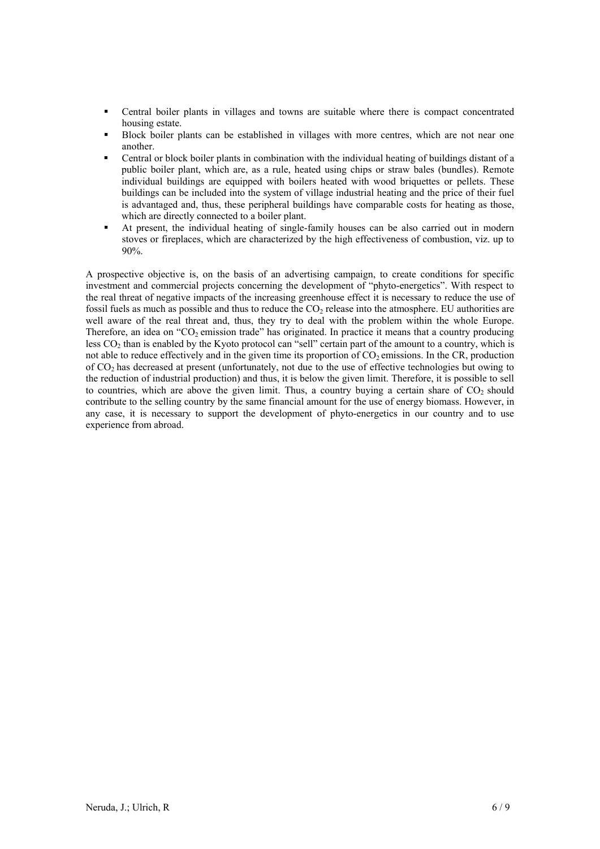- Central boiler plants in villages and towns are suitable where there is compact concentrated housing estate.
- Block boiler plants can be established in villages with more centres, which are not near one another.
- Central or block boiler plants in combination with the individual heating of buildings distant of a public boiler plant, which are, as a rule, heated using chips or straw bales (bundles). Remote individual buildings are equipped with boilers heated with wood briquettes or pellets. These buildings can be included into the system of village industrial heating and the price of their fuel is advantaged and, thus, these peripheral buildings have comparable costs for heating as those, which are directly connected to a boiler plant.
- At present, the individual heating of single-family houses can be also carried out in modern stoves or fireplaces, which are characterized by the high effectiveness of combustion, viz. up to 90%.

A prospective objective is, on the basis of an advertising campaign, to create conditions for specific investment and commercial projects concerning the development of "phyto-energetics". With respect to the real threat of negative impacts of the increasing greenhouse effect it is necessary to reduce the use of fossil fuels as much as possible and thus to reduce the  $CO<sub>2</sub>$  release into the atmosphere. EU authorities are well aware of the real threat and, thus, they try to deal with the problem within the whole Europe. Therefore, an idea on " $CO<sub>2</sub>$  emission trade" has originated. In practice it means that a country producing less CO<sub>2</sub> than is enabled by the Kyoto protocol can "sell" certain part of the amount to a country, which is not able to reduce effectively and in the given time its proportion of CO<sub>2</sub> emissions. In the CR, production of CO2 has decreased at present (unfortunately, not due to the use of effective technologies but owing to the reduction of industrial production) and thus, it is below the given limit. Therefore, it is possible to sell to countries, which are above the given limit. Thus, a country buying a certain share of  $CO<sub>2</sub>$  should contribute to the selling country by the same financial amount for the use of energy biomass. However, in any case, it is necessary to support the development of phyto-energetics in our country and to use experience from abroad.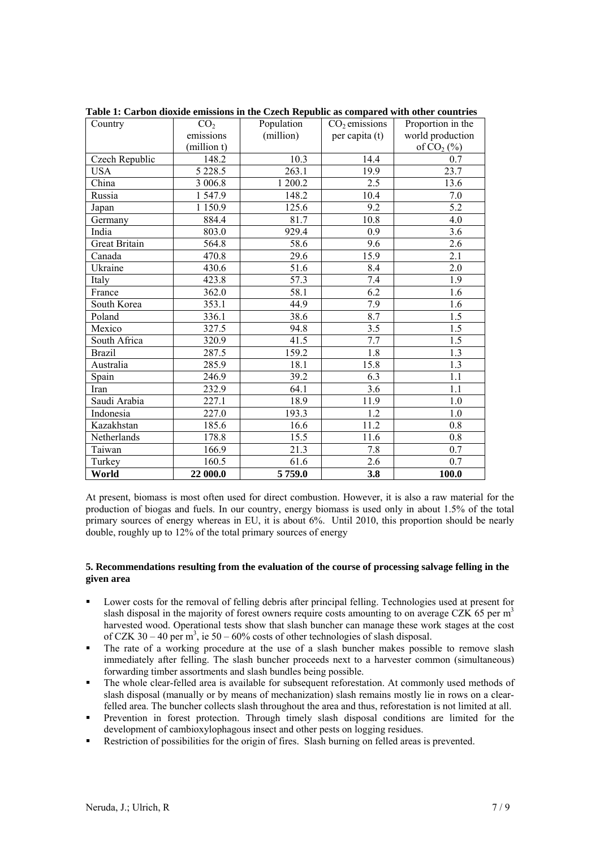| Country              | CO <sub>2</sub> | Population | $CO2$ emissions  | Proportion in the |
|----------------------|-----------------|------------|------------------|-------------------|
|                      | emissions       | (million)  | per capita (t)   | world production  |
|                      | (million t)     |            |                  | of $CO2(\%)$      |
| Czech Republic       | 148.2           | 10.3       | 14.4             | 0.7               |
| <b>USA</b>           | 5 2 2 8 . 5     | 263.1      | 19.9             | 23.7              |
| China                | 3 006.8         | 1 200.2    | 2.5              | 13.6              |
| Russia               | 1547.9          | 148.2      | 10.4             | $7.0\,$           |
| Japan                | 1 1 5 0.9       | 125.6      | 9.2              | 5.2               |
| Germany              | 884.4           | 81.7       | 10.8             | 4.0               |
| India                | 803.0           | 929.4      | 0.9              | 3.6               |
| <b>Great Britain</b> | 564.8           | 58.6       | 9.6              | 2.6               |
| Canada               | 470.8           | 29.6       | 15.9             | 2.1               |
| Ukraine              | 430.6           | 51.6       | 8.4              | 2.0               |
| Italy                | 423.8           | 57.3       | 7.4              | 1.9               |
| France               | 362.0           | 58.1       | 6.2              | 1.6               |
| South Korea          | 353.1           | 44.9       | 7.9              | 1.6               |
| Poland               | 336.1           | 38.6       | 8.7              | 1.5               |
| Mexico               | 327.5           | 94.8       | 3.5              | 1.5               |
| South Africa         | 320.9           | 41.5       | 7.7              | $\overline{1.5}$  |
| <b>Brazil</b>        | 287.5           | 159.2      | 1.8              | 1.3               |
| Australia            | 285.9           | 18.1       | 15.8             | 1.3               |
| Spain                | 246.9           | 39.2       | 6.3              | 1.1               |
| Iran                 | 232.9           | 64.1       | $\overline{3.6}$ | 1.1               |
| Saudi Arabia         | 227.1           | 18.9       | 11.9             | 1.0               |
| Indonesia            | 227.0           | 193.3      | 1.2              | 1.0               |
| Kazakhstan           | 185.6           | 16.6       | 11.2             | 0.8               |
| Netherlands          | 178.8           | 15.5       | 11.6             | 0.8               |
| Taiwan               | 166.9           | 21.3       | 7.8              | 0.7               |
| Turkey               | 160.5           | 61.6       | 2.6              | 0.7               |
| World                | 22 000.0        | 5759.0     | 3.8              | 100.0             |

**Table 1: Carbon dioxide emissions in the Czech Republic as compared with other countries** 

At present, biomass is most often used for direct combustion. However, it is also a raw material for the production of biogas and fuels. In our country, energy biomass is used only in about 1.5% of the total primary sources of energy whereas in EU, it is about 6%. Until 2010, this proportion should be nearly double, roughly up to 12% of the total primary sources of energy

# **5. Recommendations resulting from the evaluation of the course of processing salvage felling in the given area**

- Lower costs for the removal of felling debris after principal felling. Technologies used at present for slash disposal in the majority of forest owners require costs amounting to on average CZK 65 per  $m<sup>3</sup>$ harvested wood. Operational tests show that slash buncher can manage these work stages at the cost of CZK 30 – 40 per  $m^3$ , ie 50 – 60% costs of other technologies of slash disposal.
- The rate of a working procedure at the use of a slash buncher makes possible to remove slash immediately after felling. The slash buncher proceeds next to a harvester common (simultaneous) forwarding timber assortments and slash bundles being possible.
- The whole clear-felled area is available for subsequent reforestation. At commonly used methods of slash disposal (manually or by means of mechanization) slash remains mostly lie in rows on a clearfelled area. The buncher collects slash throughout the area and thus, reforestation is not limited at all.
- Prevention in forest protection. Through timely slash disposal conditions are limited for the development of cambioxylophagous insect and other pests on logging residues.
- Restriction of possibilities for the origin of fires. Slash burning on felled areas is prevented.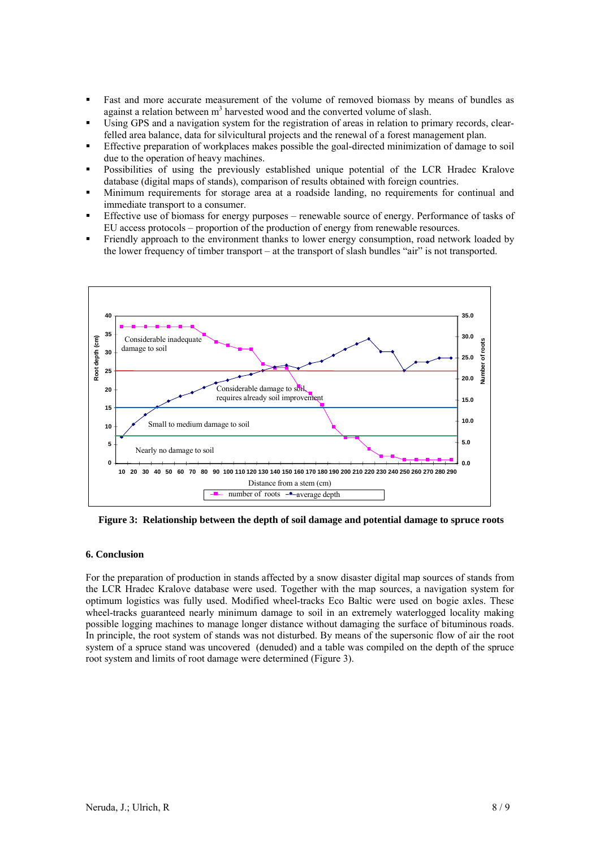- Fast and more accurate measurement of the volume of removed biomass by means of bundles as against a relation between  $m<sup>3</sup>$  harvested wood and the converted volume of slash.
- Using GPS and a navigation system for the registration of areas in relation to primary records, clearfelled area balance, data for silvicultural projects and the renewal of a forest management plan.
- Effective preparation of workplaces makes possible the goal-directed minimization of damage to soil due to the operation of heavy machines.
- Possibilities of using the previously established unique potential of the LCR Hradec Kralove database (digital maps of stands), comparison of results obtained with foreign countries.
- Minimum requirements for storage area at a roadside landing, no requirements for continual and immediate transport to a consumer.
- Effective use of biomass for energy purposes renewable source of energy. Performance of tasks of EU access protocols – proportion of the production of energy from renewable resources.
- Friendly approach to the environment thanks to lower energy consumption, road network loaded by the lower frequency of timber transport – at the transport of slash bundles "air" is not transported.



 **Figure 3: Relationship between the depth of soil damage and potential damage to spruce roots** 

#### **6. Conclusion**

For the preparation of production in stands affected by a snow disaster digital map sources of stands from the LCR Hradec Kralove database were used. Together with the map sources, a navigation system for optimum logistics was fully used. Modified wheel-tracks Eco Baltic were used on bogie axles. These wheel-tracks guaranteed nearly minimum damage to soil in an extremely waterlogged locality making possible logging machines to manage longer distance without damaging the surface of bituminous roads. In principle, the root system of stands was not disturbed. By means of the supersonic flow of air the root system of a spruce stand was uncovered (denuded) and a table was compiled on the depth of the spruce root system and limits of root damage were determined (Figure 3).